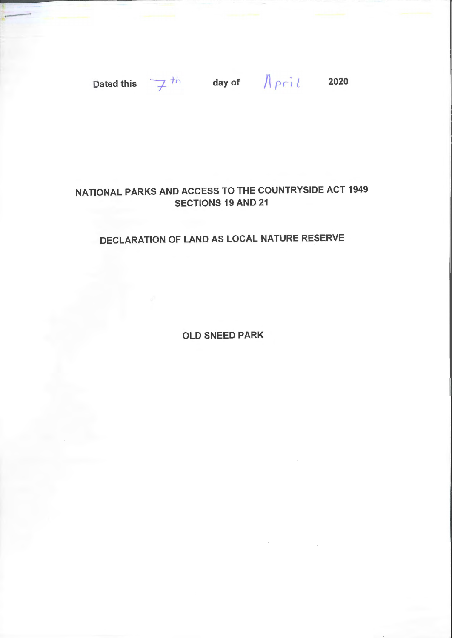·-

Dated this  $\overline{f}$ <sup>th</sup> day of  $\overline{f}$  pril 2020

## NATIONAL PARKS AND ACCESS TO THE COUNTRYSIDE ACT 1949 SECTIONS 19 AND 21

## DECLARATION OF LAND AS LOCAL NATURE RESERVE

OLD SNEED PARK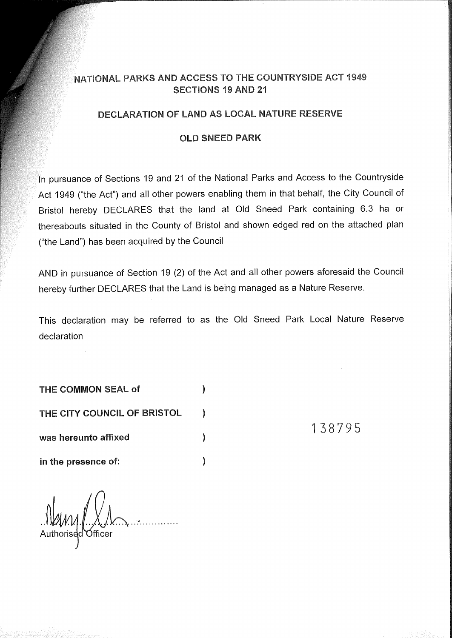### NATIONAL PARKS AND ACCESS TO THE COUNTRYSIDE ACT 1949 SECTIONS 19 AND 21

#### DECLARATION OF LAND AS LOCAL NATURE RESERVE

#### OLD SNEED PARK

In pursuance of Sections 19 and 21 of the National Parks and Access to the Countryside Act 1949 ("the Act") and all other powers enabling them in that behalf, the City Council of Bristol hereby DECLARES that the land at Old Sneed Park containing 6.3 ha or thereabouts situated in the County of Bristol and shown edged red on the attached plan ("the Land") has been acquired by the Council

AND in pursuance of Section 19 (2) of the Act and all other powers aforesaid the Council hereby further DECLARES that the Land is being managed as a Nature Reserve.

This declaration may be referred to as the Old Sneed Park Local Nature Reserve declaration

 $\mathcal{C}$ 

THE COMMON SEAL of  $\hspace{1.6cm}$ )

THE CITY COUNCIL OF BRISTOL (1)

was hereunto affixed

in the presence of:  $\qquad \qquad$  )

MM [...X.)<br>horised Officer

138795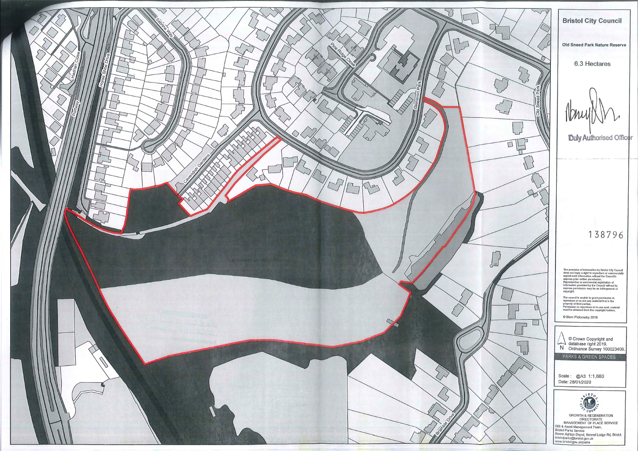

#### **Bristol City Council**

Old Sneed Park Nature Reserve

#### 6.3 Hectares

IDM

**Duly Authorised Officer** 

# 13 87 96

The provision of information by Bristol City Council<br>does not imply a right to reproduce or commercially<br>exploit such information without the Council's<br>express prior witten permission.<br>Reproduction or commercial exploitati

The council is unable to grant permission to<br>reproduce or re-use any material that is the<br>property of third parties.<br>Permission to reproduce or re-use such material<br>must be obtained from the copyright holders.

 $\bigwedge_{\text{Na}}$   $\bigcirc_{\text{Na}}$ ©Crown Copyright and database right 2019. Ordnance Survey 100023406. PARKS & GREEN SPACES Scale : @A3 1:1,680 Date: 28/01/2020

© Blom Piclometry 2016